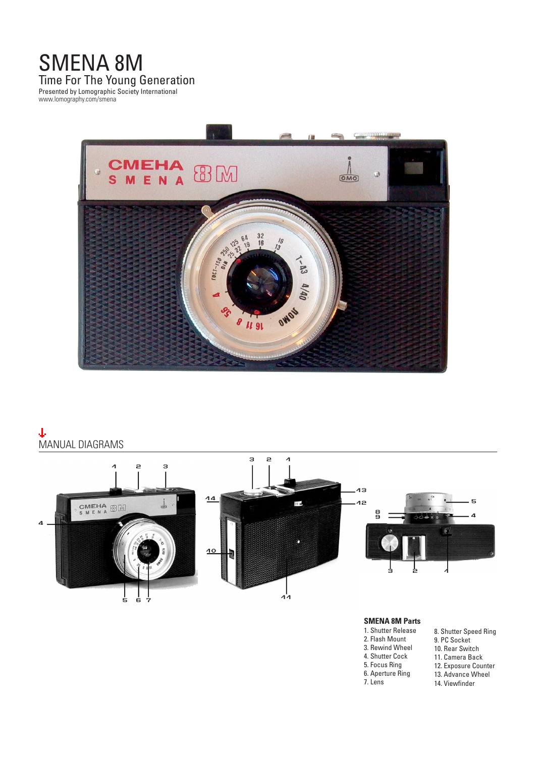# SMENA 8M Time For The Young Generation Presented by Lomographic Society International

www.lomography.com/smena



# Φ MANUAL DIAGRAMS



### **SMENA 8M Parts**

- 1. Shutter Release
- 2. Flash Mount
- 3. Rewind Wheel
- 4. Shutter Cock
	-
- 5. Focus Ring
- 6. Aperture Ring
- 7. Lens
- 8. Shutter Speed Ring 9. PC Socket 10. Rear Switch 11. Camera Back 12. Exposure Counter 13. Advance Wheel 14. Viewfinder